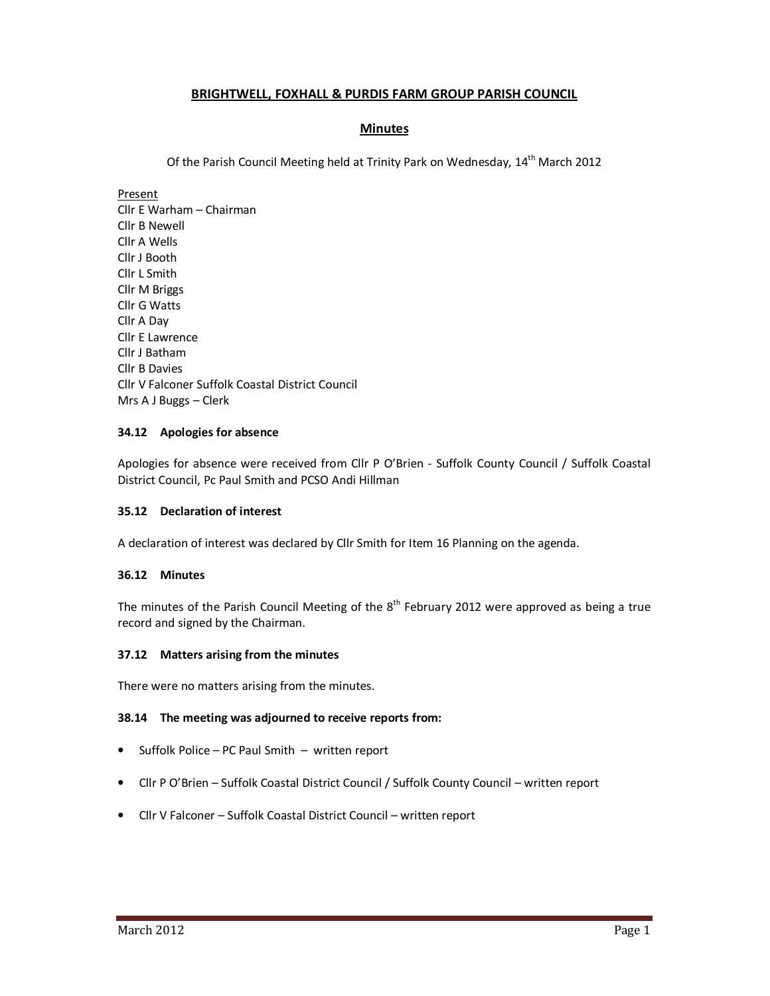# **BRIGHTWELL, FOXHALL & PURDIS FARM GROUP PARISH COUNCIL**

# **Minutes**

Of the Parish Council Meeting held at Trinity Park on Wednesday, 14<sup>th</sup> March 2012

Present

Cllr E Warham – Chairman Cllr B Newell Cllr A Wells Cllr J Booth Cllr L Smith Cllr M Briggs Cllr G Watts Cllr A Day Cllr E Lawrence Cllr J Batham Cllr B Davies Cllr V Falconer Suffolk Coastal District Council Mrs A J Buggs – Clerk

# **34.12 Apologies for absence**

Apologies for absence were received from Cllr P O'Brien - Suffolk County Council / Suffolk Coastal District Council, Pc Paul Smith and PCSO Andi Hillman

# **35.12 Declaration of interest**

A declaration of interest was declared by Cllr Smith for Item 16 Planning on the agenda.

#### **36.12 Minutes**

The minutes of the Parish Council Meeting of the  $8<sup>th</sup>$  February 2012 were approved as being a true record and signed by the Chairman.

#### **37.12 Matters arising from the minutes**

There were no matters arising from the minutes.

#### **38.14 The meeting was adjourned to receive reports from:**

- Suffolk Police PC Paul Smith written report
- Cllr P O'Brien Suffolk Coastal District Council / Suffolk County Council written report
- Cllr V Falconer Suffolk Coastal District Council written report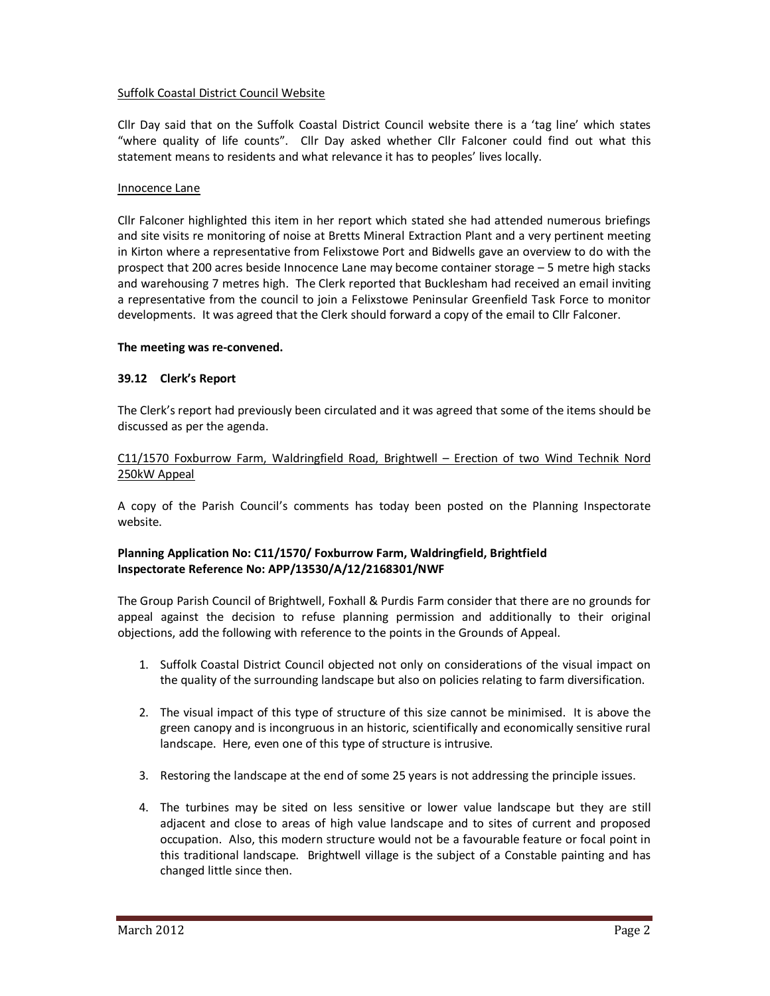# Suffolk Coastal District Council Website

Cllr Day said that on the Suffolk Coastal District Council website there is a 'tag line' which states "where quality of life counts". Cllr Day asked whether Cllr Falconer could find out what this statement means to residents and what relevance it has to peoples' lives locally.

#### Innocence Lane

Cllr Falconer highlighted this item in her report which stated she had attended numerous briefings and site visits re monitoring of noise at Bretts Mineral Extraction Plant and a very pertinent meeting in Kirton where a representative from Felixstowe Port and Bidwells gave an overview to do with the prospect that 200 acres beside Innocence Lane may become container storage – 5 metre high stacks and warehousing 7 metres high. The Clerk reported that Bucklesham had received an email inviting a representative from the council to join a Felixstowe Peninsular Greenfield Task Force to monitor developments. It was agreed that the Clerk should forward a copy of the email to Cllr Falconer.

### **The meeting was re-convened.**

### **39.12 Clerk's Report**

The Clerk's report had previously been circulated and it was agreed that some of the items should be discussed as per the agenda.

### C11/1570 Foxburrow Farm, Waldringfield Road, Brightwell – Erection of two Wind Technik Nord 250kW Appeal

A copy of the Parish Council's comments has today been posted on the Planning Inspectorate website.

# **Planning Application No: C11/1570/ Foxburrow Farm, Waldringfield, Brightfield Inspectorate Reference No: APP/13530/A/12/2168301/NWF**

The Group Parish Council of Brightwell, Foxhall & Purdis Farm consider that there are no grounds for appeal against the decision to refuse planning permission and additionally to their original objections, add the following with reference to the points in the Grounds of Appeal.

- 1. Suffolk Coastal District Council objected not only on considerations of the visual impact on the quality of the surrounding landscape but also on policies relating to farm diversification.
- 2. The visual impact of this type of structure of this size cannot be minimised. It is above the green canopy and is incongruous in an historic, scientifically and economically sensitive rural landscape. Here, even one of this type of structure is intrusive.
- 3. Restoring the landscape at the end of some 25 years is not addressing the principle issues.
- 4. The turbines may be sited on less sensitive or lower value landscape but they are still adjacent and close to areas of high value landscape and to sites of current and proposed occupation. Also, this modern structure would not be a favourable feature or focal point in this traditional landscape. Brightwell village is the subject of a Constable painting and has changed little since then.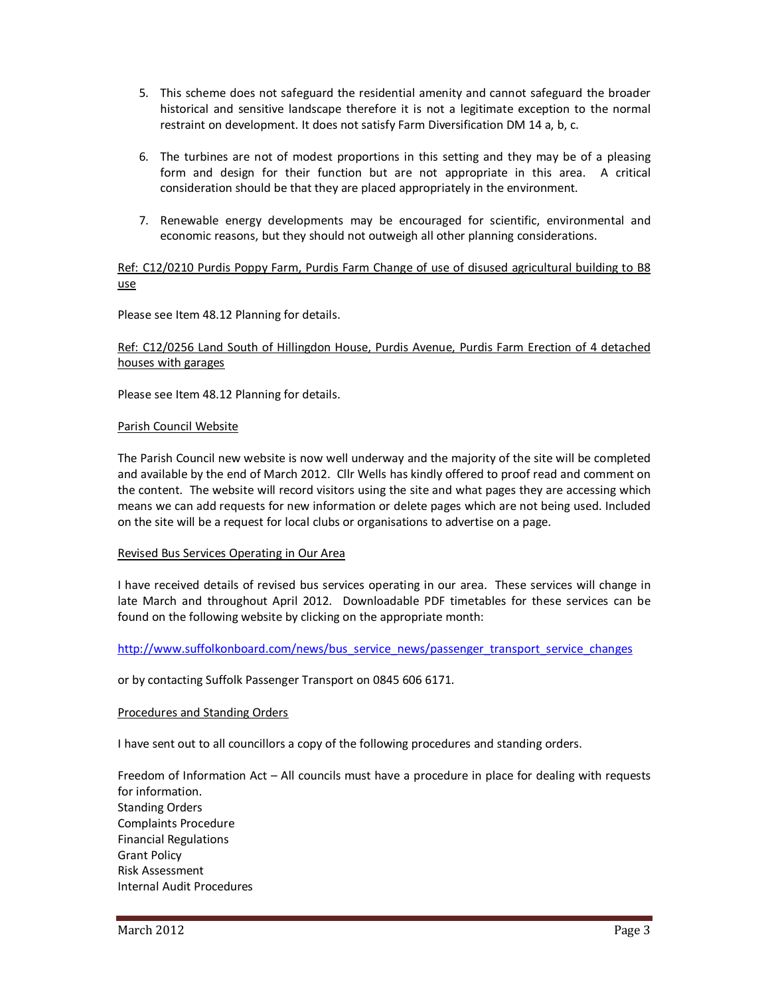- 5. This scheme does not safeguard the residential amenity and cannot safeguard the broader historical and sensitive landscape therefore it is not a legitimate exception to the normal restraint on development. It does not satisfy Farm Diversification DM 14 a, b, c.
- 6. The turbines are not of modest proportions in this setting and they may be of a pleasing form and design for their function but are not appropriate in this area. A critical consideration should be that they are placed appropriately in the environment.
- 7. Renewable energy developments may be encouraged for scientific, environmental and economic reasons, but they should not outweigh all other planning considerations.

# Ref: C12/0210 Purdis Poppy Farm, Purdis Farm Change of use of disused agricultural building to B8 use

Please see Item 48.12 Planning for details.

# Ref: C12/0256 Land South of Hillingdon House, Purdis Avenue, Purdis Farm Erection of 4 detached houses with garages

Please see Item 48.12 Planning for details.

#### Parish Council Website

The Parish Council new website is now well underway and the majority of the site will be completed and available by the end of March 2012. Cllr Wells has kindly offered to proof read and comment on the content. The website will record visitors using the site and what pages they are accessing which means we can add requests for new information or delete pages which are not being used. Included on the site will be a request for local clubs or organisations to advertise on a page.

# Revised Bus Services Operating in Our Area

I have received details of revised bus services operating in our area. These services will change in late March and throughout April 2012. Downloadable PDF timetables for these services can be found on the following website by clicking on the appropriate month:

http://www.suffolkonboard.com/news/bus\_service\_news/passenger\_transport\_service\_changes

or by contacting Suffolk Passenger Transport on 0845 606 6171.

#### Procedures and Standing Orders

I have sent out to all councillors a copy of the following procedures and standing orders.

Freedom of Information Act – All councils must have a procedure in place for dealing with requests for information. Standing Orders Complaints Procedure Financial Regulations Grant Policy Risk Assessment Internal Audit Procedures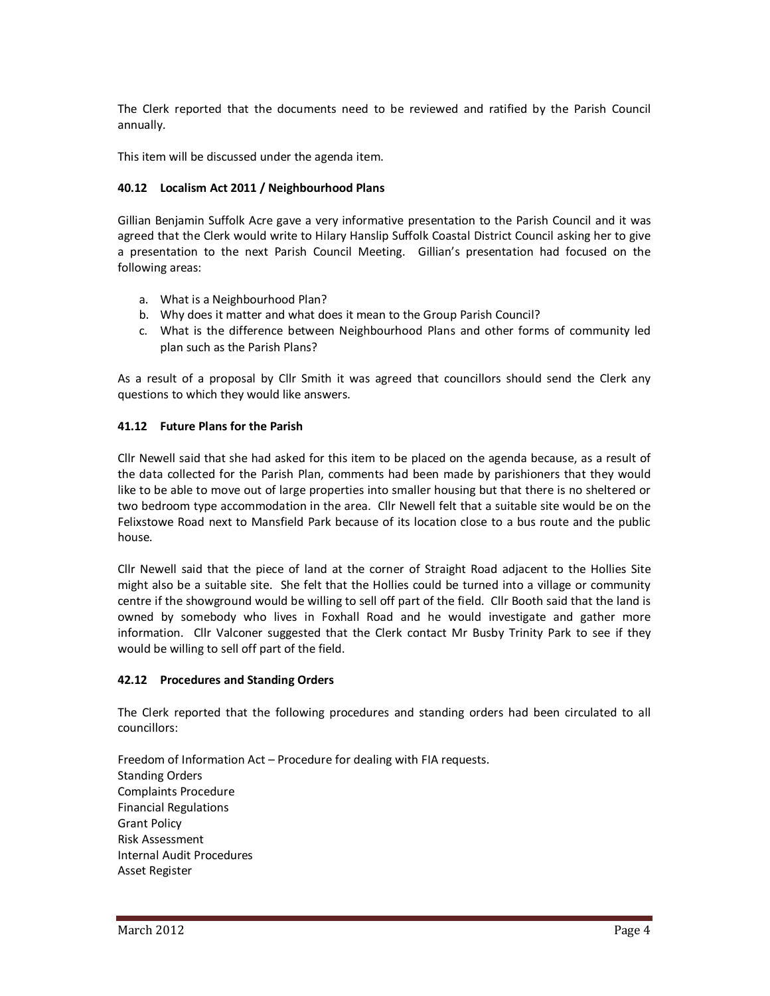The Clerk reported that the documents need to be reviewed and ratified by the Parish Council annually.

This item will be discussed under the agenda item.

### **40.12 Localism Act 2011 / Neighbourhood Plans**

Gillian Benjamin Suffolk Acre gave a very informative presentation to the Parish Council and it was agreed that the Clerk would write to Hilary Hanslip Suffolk Coastal District Council asking her to give a presentation to the next Parish Council Meeting. Gillian's presentation had focused on the following areas:

- a. What is a Neighbourhood Plan?
- b. Why does it matter and what does it mean to the Group Parish Council?
- c. What is the difference between Neighbourhood Plans and other forms of community led plan such as the Parish Plans?

As a result of a proposal by Cllr Smith it was agreed that councillors should send the Clerk any questions to which they would like answers.

### **41.12 Future Plans for the Parish**

Cllr Newell said that she had asked for this item to be placed on the agenda because, as a result of the data collected for the Parish Plan, comments had been made by parishioners that they would like to be able to move out of large properties into smaller housing but that there is no sheltered or two bedroom type accommodation in the area. Cllr Newell felt that a suitable site would be on the Felixstowe Road next to Mansfield Park because of its location close to a bus route and the public house.

Cllr Newell said that the piece of land at the corner of Straight Road adjacent to the Hollies Site might also be a suitable site. She felt that the Hollies could be turned into a village or community centre if the showground would be willing to sell off part of the field. Cllr Booth said that the land is owned by somebody who lives in Foxhall Road and he would investigate and gather more information. Cllr Valconer suggested that the Clerk contact Mr Busby Trinity Park to see if they would be willing to sell off part of the field.

#### **42.12 Procedures and Standing Orders**

The Clerk reported that the following procedures and standing orders had been circulated to all councillors:

Freedom of Information Act – Procedure for dealing with FIA requests. Standing Orders Complaints Procedure Financial Regulations Grant Policy Risk Assessment Internal Audit Procedures Asset Register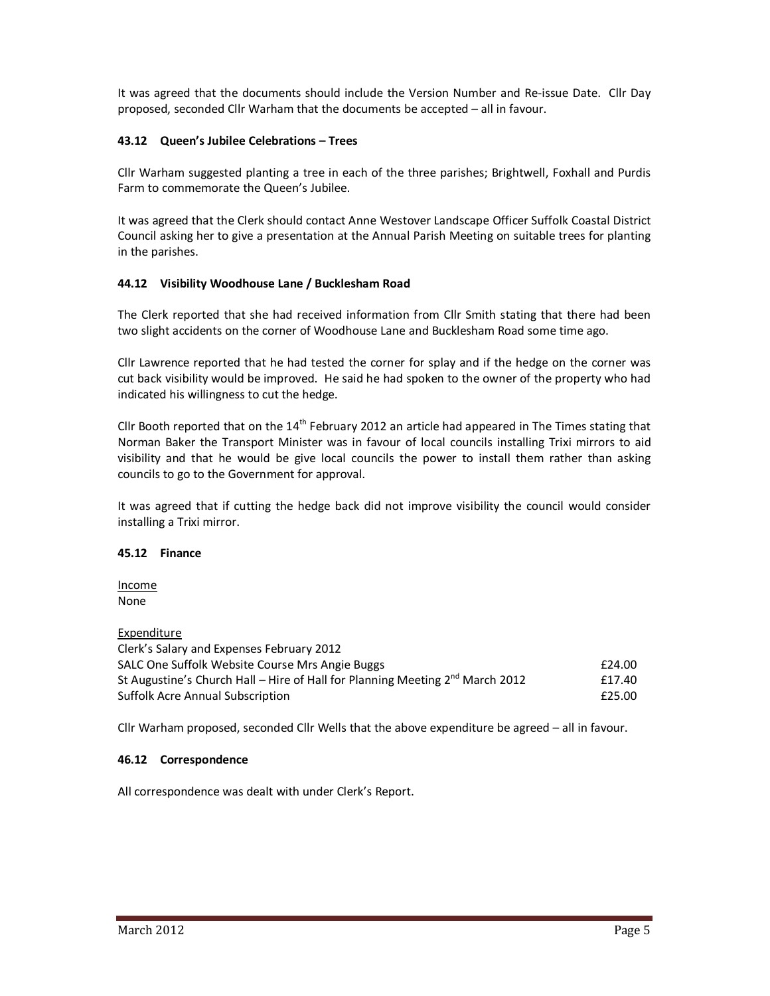It was agreed that the documents should include the Version Number and Re-issue Date. Cllr Day proposed, seconded Cllr Warham that the documents be accepted – all in favour.

### **43.12 Queen's Jubilee Celebrations – Trees**

Cllr Warham suggested planting a tree in each of the three parishes; Brightwell, Foxhall and Purdis Farm to commemorate the Queen's Jubilee.

It was agreed that the Clerk should contact Anne Westover Landscape Officer Suffolk Coastal District Council asking her to give a presentation at the Annual Parish Meeting on suitable trees for planting in the parishes.

### **44.12 Visibility Woodhouse Lane / Bucklesham Road**

The Clerk reported that she had received information from Cllr Smith stating that there had been two slight accidents on the corner of Woodhouse Lane and Bucklesham Road some time ago.

Cllr Lawrence reported that he had tested the corner for splay and if the hedge on the corner was cut back visibility would be improved. He said he had spoken to the owner of the property who had indicated his willingness to cut the hedge.

Cllr Booth reported that on the  $14<sup>th</sup>$  February 2012 an article had appeared in The Times stating that Norman Baker the Transport Minister was in favour of local councils installing Trixi mirrors to aid visibility and that he would be give local councils the power to install them rather than asking councils to go to the Government for approval.

It was agreed that if cutting the hedge back did not improve visibility the council would consider installing a Trixi mirror.

# **45.12 Finance**

Income None

Expenditure Clerk's Salary and Expenses February 2012 SALC One Suffolk Website Course Mrs Angie Buggs  $\text{E24.00}$ St Augustine's Church Hall – Hire of Hall for Planning Meeting  $2^{nd}$  March 2012  $f$  17.40 Suffolk Acre Annual Subscription £25.00

Cllr Warham proposed, seconded Cllr Wells that the above expenditure be agreed – all in favour.

#### **46.12 Correspondence**

All correspondence was dealt with under Clerk's Report.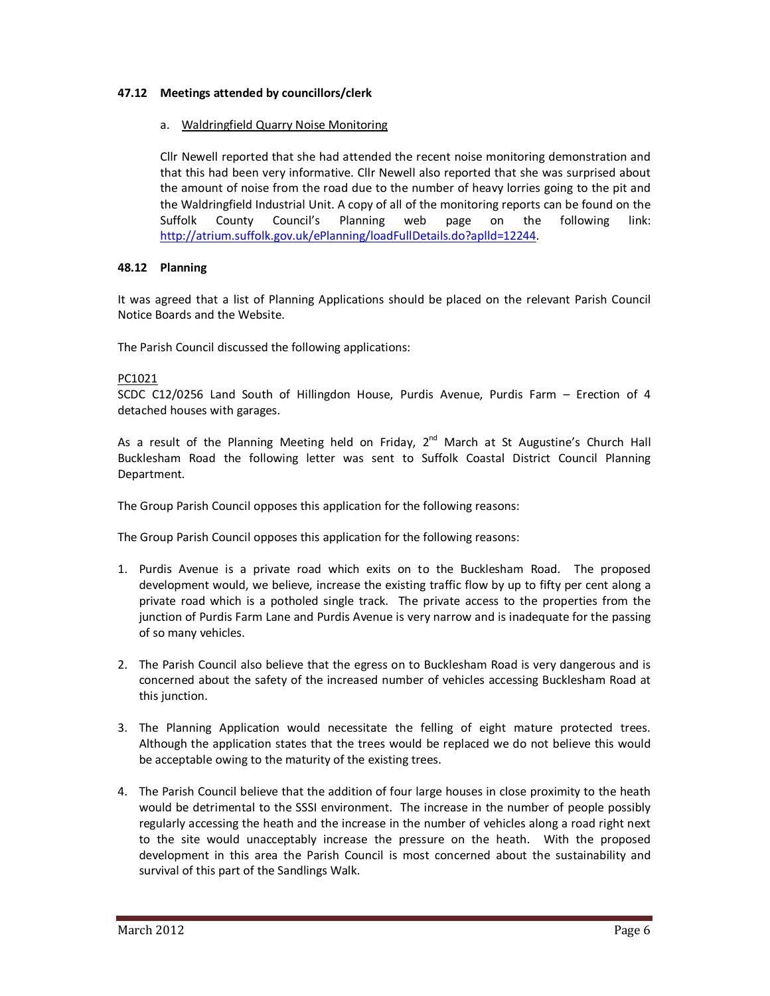# **47.12 Meetings attended by councillors/clerk**

# a. Waldringfield Quarry Noise Monitoring

Cllr Newell reported that she had attended the recent noise monitoring demonstration and that this had been very informative. Cllr Newell also reported that she was surprised about the amount of noise from the road due to the number of heavy lorries going to the pit and the Waldringfield Industrial Unit. A copy of all of the monitoring reports can be found on the Suffolk County Council's Planning web page on the following link: http://atrium.suffolk.gov.uk/ePlanning/loadFullDetails.do?aplld=12244.

# **48.12 Planning**

It was agreed that a list of Planning Applications should be placed on the relevant Parish Council Notice Boards and the Website.

The Parish Council discussed the following applications:

# PC1021

SCDC C12/0256 Land South of Hillingdon House, Purdis Avenue, Purdis Farm – Erection of 4 detached houses with garages.

As a result of the Planning Meeting held on Friday,  $2^{nd}$  March at St Augustine's Church Hall Bucklesham Road the following letter was sent to Suffolk Coastal District Council Planning Department.

The Group Parish Council opposes this application for the following reasons:

The Group Parish Council opposes this application for the following reasons:

- 1. Purdis Avenue is a private road which exits on to the Bucklesham Road. The proposed development would, we believe, increase the existing traffic flow by up to fifty per cent along a private road which is a potholed single track. The private access to the properties from the junction of Purdis Farm Lane and Purdis Avenue is very narrow and is inadequate for the passing of so many vehicles.
- 2. The Parish Council also believe that the egress on to Bucklesham Road is very dangerous and is concerned about the safety of the increased number of vehicles accessing Bucklesham Road at this junction.
- 3. The Planning Application would necessitate the felling of eight mature protected trees. Although the application states that the trees would be replaced we do not believe this would be acceptable owing to the maturity of the existing trees.
- 4. The Parish Council believe that the addition of four large houses in close proximity to the heath would be detrimental to the SSSI environment. The increase in the number of people possibly regularly accessing the heath and the increase in the number of vehicles along a road right next to the site would unacceptably increase the pressure on the heath. With the proposed development in this area the Parish Council is most concerned about the sustainability and survival of this part of the Sandlings Walk.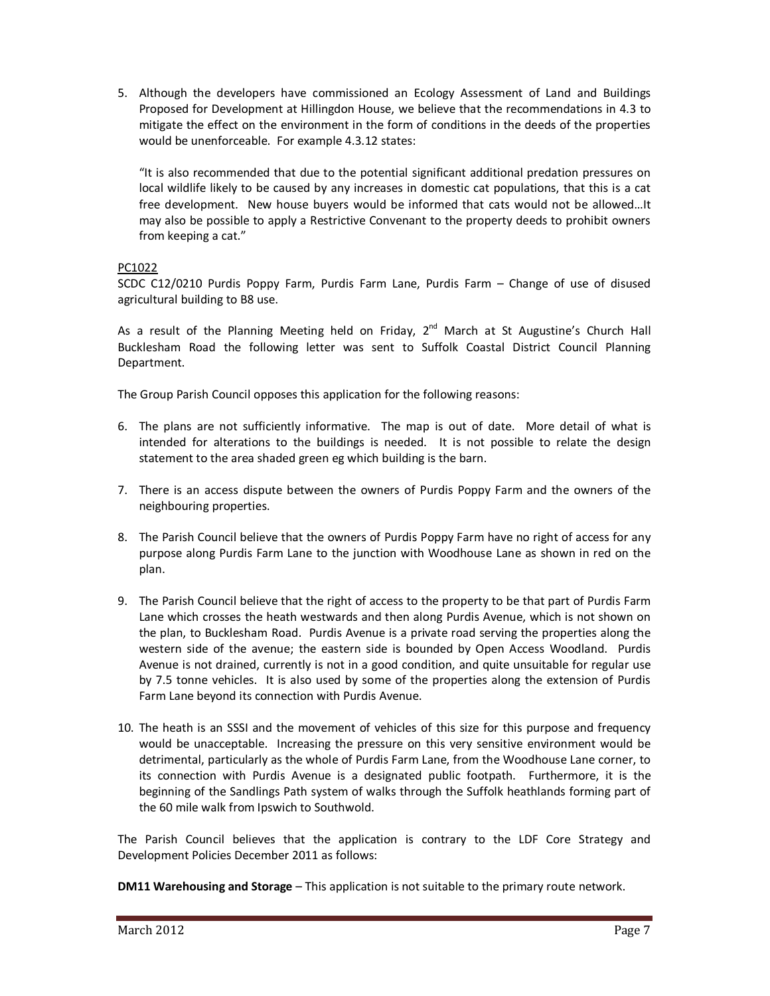5. Although the developers have commissioned an Ecology Assessment of Land and Buildings Proposed for Development at Hillingdon House, we believe that the recommendations in 4.3 to mitigate the effect on the environment in the form of conditions in the deeds of the properties would be unenforceable. For example 4.3.12 states:

"It is also recommended that due to the potential significant additional predation pressures on local wildlife likely to be caused by any increases in domestic cat populations, that this is a cat free development. New house buyers would be informed that cats would not be allowed…It may also be possible to apply a Restrictive Convenant to the property deeds to prohibit owners from keeping a cat."

# PC1022

SCDC C12/0210 Purdis Poppy Farm, Purdis Farm Lane, Purdis Farm – Change of use of disused agricultural building to B8 use.

As a result of the Planning Meeting held on Friday,  $2^{nd}$  March at St Augustine's Church Hall Bucklesham Road the following letter was sent to Suffolk Coastal District Council Planning Department.

The Group Parish Council opposes this application for the following reasons:

- 6. The plans are not sufficiently informative. The map is out of date. More detail of what is intended for alterations to the buildings is needed. It is not possible to relate the design statement to the area shaded green eg which building is the barn.
- 7. There is an access dispute between the owners of Purdis Poppy Farm and the owners of the neighbouring properties.
- 8. The Parish Council believe that the owners of Purdis Poppy Farm have no right of access for any purpose along Purdis Farm Lane to the junction with Woodhouse Lane as shown in red on the plan.
- 9. The Parish Council believe that the right of access to the property to be that part of Purdis Farm Lane which crosses the heath westwards and then along Purdis Avenue, which is not shown on the plan, to Bucklesham Road. Purdis Avenue is a private road serving the properties along the western side of the avenue; the eastern side is bounded by Open Access Woodland. Purdis Avenue is not drained, currently is not in a good condition, and quite unsuitable for regular use by 7.5 tonne vehicles. It is also used by some of the properties along the extension of Purdis Farm Lane beyond its connection with Purdis Avenue.
- 10. The heath is an SSSI and the movement of vehicles of this size for this purpose and frequency would be unacceptable. Increasing the pressure on this very sensitive environment would be detrimental, particularly as the whole of Purdis Farm Lane, from the Woodhouse Lane corner, to its connection with Purdis Avenue is a designated public footpath. Furthermore, it is the beginning of the Sandlings Path system of walks through the Suffolk heathlands forming part of the 60 mile walk from Ipswich to Southwold.

The Parish Council believes that the application is contrary to the LDF Core Strategy and Development Policies December 2011 as follows:

**DM11 Warehousing and Storage** – This application is not suitable to the primary route network.